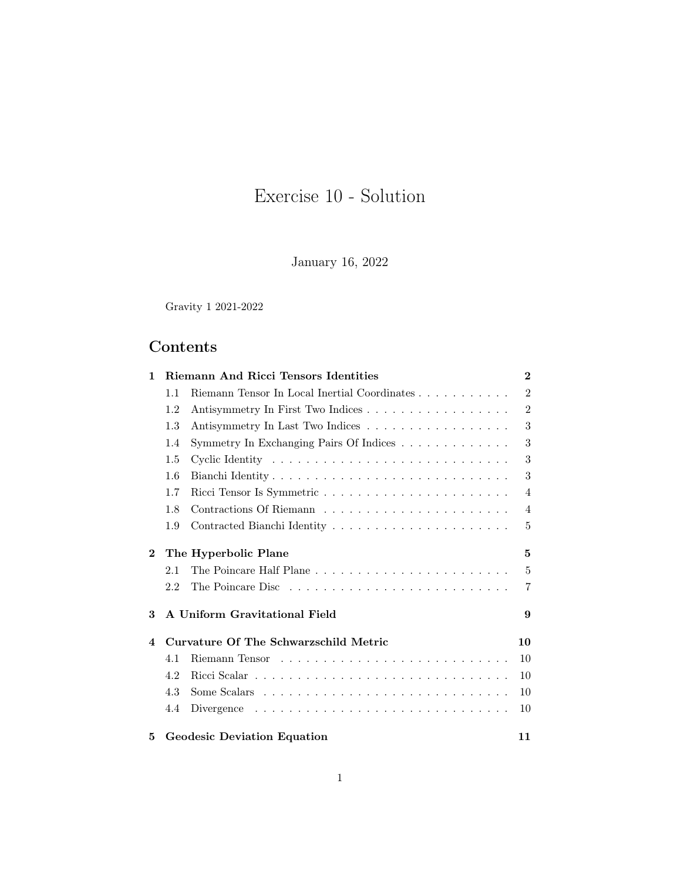# Exercise 10 - Solution

January 16, 2022

Gravity 1 2021-2022

# Contents

| 1              | Riemann And Ricci Tensors Identities  |                                              | $\bf{2}$       |
|----------------|---------------------------------------|----------------------------------------------|----------------|
|                | 1.1                                   | Riemann Tensor In Local Inertial Coordinates | $\overline{2}$ |
|                | 1.2                                   | Antisymmetry In First Two Indices            | $\overline{2}$ |
|                | 1.3                                   | Antisymmetry In Last Two Indices             | 3              |
|                | 1.4                                   | Symmetry In Exchanging Pairs Of Indices      | 3              |
|                | 1.5                                   |                                              | 3              |
|                | 1.6                                   |                                              | 3              |
|                | 1.7                                   |                                              | $\overline{4}$ |
|                | 1.8                                   |                                              | 4              |
|                | 1.9                                   |                                              | 5              |
| $\mathbf{2}$   |                                       | The Hyperbolic Plane                         | 5              |
|                | 2.1                                   | The Poincare Half Plane                      | 5              |
|                | 2.2                                   |                                              | $\overline{7}$ |
| 3              |                                       | A Uniform Gravitational Field                | 9              |
| $\overline{4}$ | Curvature Of The Schwarzschild Metric |                                              | 10             |
|                | 4.1                                   |                                              | 10             |
|                | 4.2                                   |                                              | 10             |
|                | 4.3                                   |                                              | 10             |
|                | 4.4                                   |                                              | 10             |
| 5              |                                       | <b>Geodesic Deviation Equation</b>           | 11             |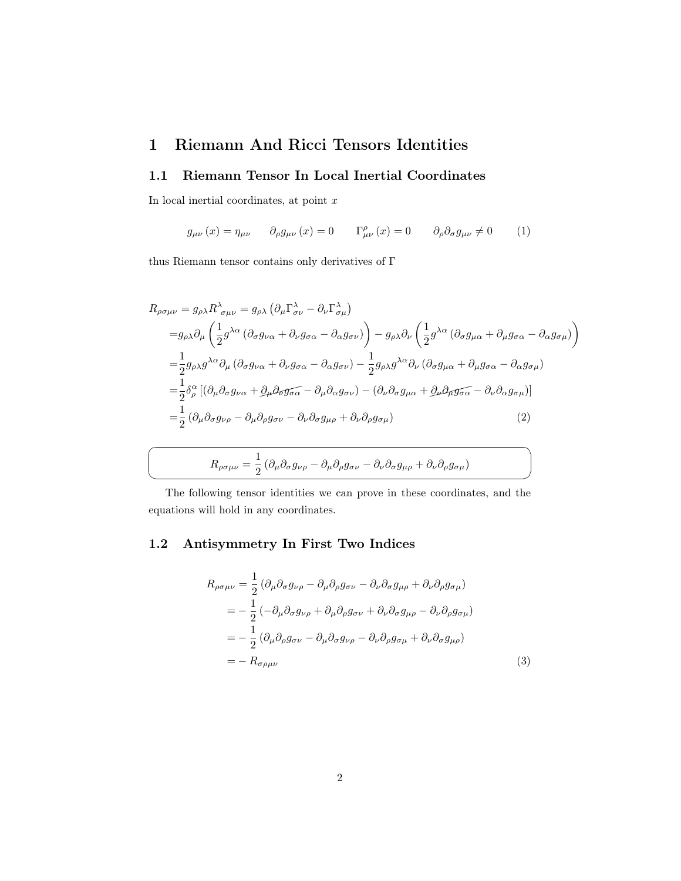## <span id="page-1-0"></span>1 Riemann And Ricci Tensors Identities

#### <span id="page-1-1"></span>1.1 Riemann Tensor In Local Inertial Coordinates

In local inertial coordinates, at point  $\boldsymbol{x}$ 

☛

 $\searrow$ 

$$
g_{\mu\nu}(x) = \eta_{\mu\nu} \qquad \partial_{\rho}g_{\mu\nu}(x) = 0 \qquad \Gamma^{\rho}_{\mu\nu}(x) = 0 \qquad \partial_{\rho}\partial_{\sigma}g_{\mu\nu} \neq 0 \qquad (1)
$$

thus Riemann tensor contains only derivatives of  $\Gamma$ 

$$
R_{\rho\sigma\mu\nu} = g_{\rho\lambda} R^{\lambda}_{\sigma\mu\nu} = g_{\rho\lambda} \left( \partial_{\mu} \Gamma^{\lambda}_{\sigma\nu} - \partial_{\nu} \Gamma^{\lambda}_{\sigma\mu} \right)
$$
  
\n
$$
= g_{\rho\lambda} \partial_{\mu} \left( \frac{1}{2} g^{\lambda\alpha} \left( \partial_{\sigma} g_{\nu\alpha} + \partial_{\nu} g_{\sigma\alpha} - \partial_{\alpha} g_{\sigma\nu} \right) \right) - g_{\rho\lambda} \partial_{\nu} \left( \frac{1}{2} g^{\lambda\alpha} \left( \partial_{\sigma} g_{\mu\alpha} + \partial_{\mu} g_{\sigma\alpha} - \partial_{\alpha} g_{\sigma\mu} \right) \right)
$$
  
\n
$$
= \frac{1}{2} g_{\rho\lambda} g^{\lambda\alpha} \partial_{\mu} \left( \partial_{\sigma} g_{\nu\alpha} + \partial_{\nu} g_{\sigma\alpha} - \partial_{\alpha} g_{\sigma\nu} \right) - \frac{1}{2} g_{\rho\lambda} g^{\lambda\alpha} \partial_{\nu} \left( \partial_{\sigma} g_{\mu\alpha} + \partial_{\mu} g_{\sigma\alpha} - \partial_{\alpha} g_{\sigma\mu} \right)
$$
  
\n
$$
= \frac{1}{2} \delta^{\alpha}_{\rho} \left[ \left( \partial_{\mu} \partial_{\sigma} g_{\nu\alpha} + \partial_{\mu} \partial_{\sigma} g_{\sigma\alpha} - \partial_{\mu} \partial_{\alpha} g_{\sigma\nu} \right) - \left( \partial_{\nu} \partial_{\sigma} g_{\mu\alpha} + \partial_{\mu} \partial_{\mu} g_{\sigma\alpha} - \partial_{\nu} \partial_{\alpha} g_{\sigma\mu} \right) \right]
$$
  
\n
$$
= \frac{1}{2} \left( \partial_{\mu} \partial_{\sigma} g_{\nu\rho} - \partial_{\mu} \partial_{\rho} g_{\sigma\nu} - \partial_{\nu} \partial_{\sigma} g_{\mu\rho} + \partial_{\nu} \partial_{\rho} g_{\sigma\mu} \right) \tag{2}
$$

$$
R_{\rho\sigma\mu\nu} = \frac{1}{2} \left( \partial_{\mu} \partial_{\sigma} g_{\nu\rho} - \partial_{\mu} \partial_{\rho} g_{\sigma\nu} - \partial_{\nu} \partial_{\sigma} g_{\mu\rho} + \partial_{\nu} \partial_{\rho} g_{\sigma\mu} \right)
$$

<span id="page-1-3"></span>✠

The following tensor identities we can prove in these coordinates, and the equations will hold in any coordinates.

### <span id="page-1-2"></span>1.2 Antisymmetry In First Two Indices

$$
R_{\rho\sigma\mu\nu} = \frac{1}{2} \left( \partial_{\mu} \partial_{\sigma} g_{\nu\rho} - \partial_{\mu} \partial_{\rho} g_{\sigma\nu} - \partial_{\nu} \partial_{\sigma} g_{\mu\rho} + \partial_{\nu} \partial_{\rho} g_{\sigma\mu} \right)
$$
  
\n
$$
= -\frac{1}{2} \left( -\partial_{\mu} \partial_{\sigma} g_{\nu\rho} + \partial_{\mu} \partial_{\rho} g_{\sigma\nu} + \partial_{\nu} \partial_{\sigma} g_{\mu\rho} - \partial_{\nu} \partial_{\rho} g_{\sigma\mu} \right)
$$
  
\n
$$
= -\frac{1}{2} \left( \partial_{\mu} \partial_{\rho} g_{\sigma\nu} - \partial_{\mu} \partial_{\sigma} g_{\nu\rho} - \partial_{\nu} \partial_{\rho} g_{\sigma\mu} + \partial_{\nu} \partial_{\sigma} g_{\mu\rho} \right)
$$
  
\n
$$
= -R_{\sigma\rho\mu\nu} \tag{3}
$$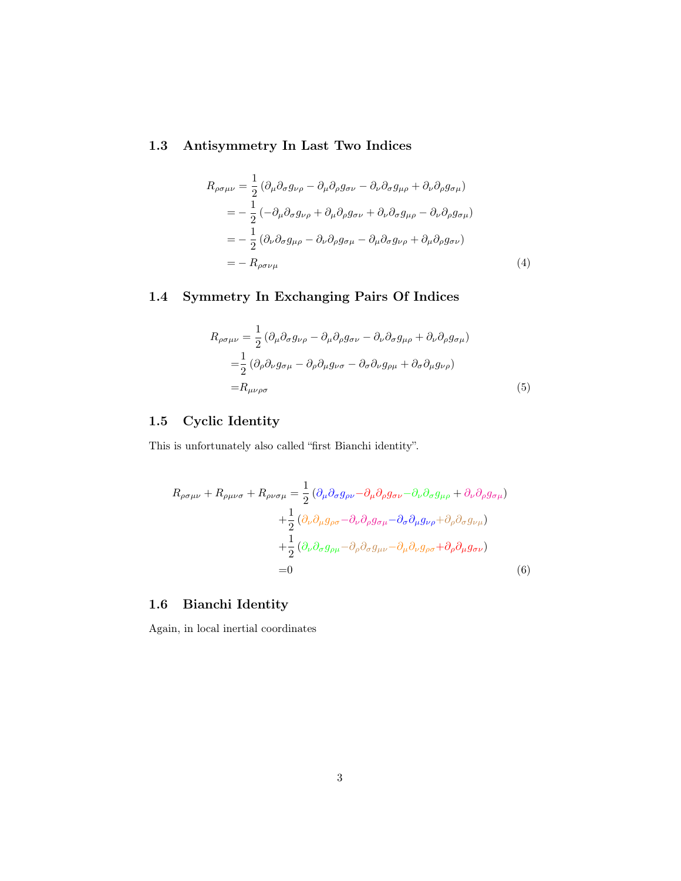### <span id="page-2-0"></span>1.3 Antisymmetry In Last Two Indices

$$
R_{\rho\sigma\mu\nu} = \frac{1}{2} (\partial_{\mu}\partial_{\sigma}g_{\nu\rho} - \partial_{\mu}\partial_{\rho}g_{\sigma\nu} - \partial_{\nu}\partial_{\sigma}g_{\mu\rho} + \partial_{\nu}\partial_{\rho}g_{\sigma\mu})
$$
  
\n
$$
= -\frac{1}{2} (-\partial_{\mu}\partial_{\sigma}g_{\nu\rho} + \partial_{\mu}\partial_{\rho}g_{\sigma\nu} + \partial_{\nu}\partial_{\sigma}g_{\mu\rho} - \partial_{\nu}\partial_{\rho}g_{\sigma\mu})
$$
  
\n
$$
= -\frac{1}{2} (\partial_{\nu}\partial_{\sigma}g_{\mu\rho} - \partial_{\nu}\partial_{\rho}g_{\sigma\mu} - \partial_{\mu}\partial_{\sigma}g_{\nu\rho} + \partial_{\mu}\partial_{\rho}g_{\sigma\nu})
$$
  
\n
$$
= - R_{\rho\sigma\nu\mu}
$$
 (4)

### <span id="page-2-1"></span>1.4 Symmetry In Exchanging Pairs Of Indices

<span id="page-2-5"></span><span id="page-2-4"></span>
$$
R_{\rho\sigma\mu\nu} = \frac{1}{2} \left( \partial_{\mu} \partial_{\sigma} g_{\nu\rho} - \partial_{\mu} \partial_{\rho} g_{\sigma\nu} - \partial_{\nu} \partial_{\sigma} g_{\mu\rho} + \partial_{\nu} \partial_{\rho} g_{\sigma\mu} \right)
$$
  

$$
= \frac{1}{2} \left( \partial_{\rho} \partial_{\nu} g_{\sigma\mu} - \partial_{\rho} \partial_{\mu} g_{\nu\sigma} - \partial_{\sigma} \partial_{\nu} g_{\rho\mu} + \partial_{\sigma} \partial_{\mu} g_{\nu\rho} \right)
$$
  

$$
= R_{\mu\nu\rho\sigma} \tag{5}
$$

### <span id="page-2-2"></span>1.5 Cyclic Identity

This is unfortunately also called "first Bianchi identity".

$$
R_{\rho\sigma\mu\nu} + R_{\rho\mu\nu\sigma} + R_{\rho\nu\sigma\mu} = \frac{1}{2} \left( \partial_{\mu} \partial_{\sigma} g_{\rho\nu} - \partial_{\mu} \partial_{\rho} g_{\sigma\nu} - \partial_{\nu} \partial_{\sigma} g_{\mu\rho} + \partial_{\nu} \partial_{\rho} g_{\sigma\mu} \right) + \frac{1}{2} \left( \partial_{\nu} \partial_{\mu} g_{\rho\sigma} - \partial_{\nu} \partial_{\rho} g_{\sigma\mu} - \partial_{\sigma} \partial_{\mu} g_{\nu\rho} + \partial_{\rho} \partial_{\sigma} g_{\nu\mu} \right) + \frac{1}{2} \left( \partial_{\nu} \partial_{\sigma} g_{\rho\mu} - \partial_{\rho} \partial_{\sigma} g_{\mu\nu} - \partial_{\mu} \partial_{\nu} g_{\rho\sigma} + \partial_{\rho} \partial_{\mu} g_{\sigma\nu} \right) = 0
$$
 (6)

### <span id="page-2-3"></span>1.6 Bianchi Identity

Again, in local inertial coordinates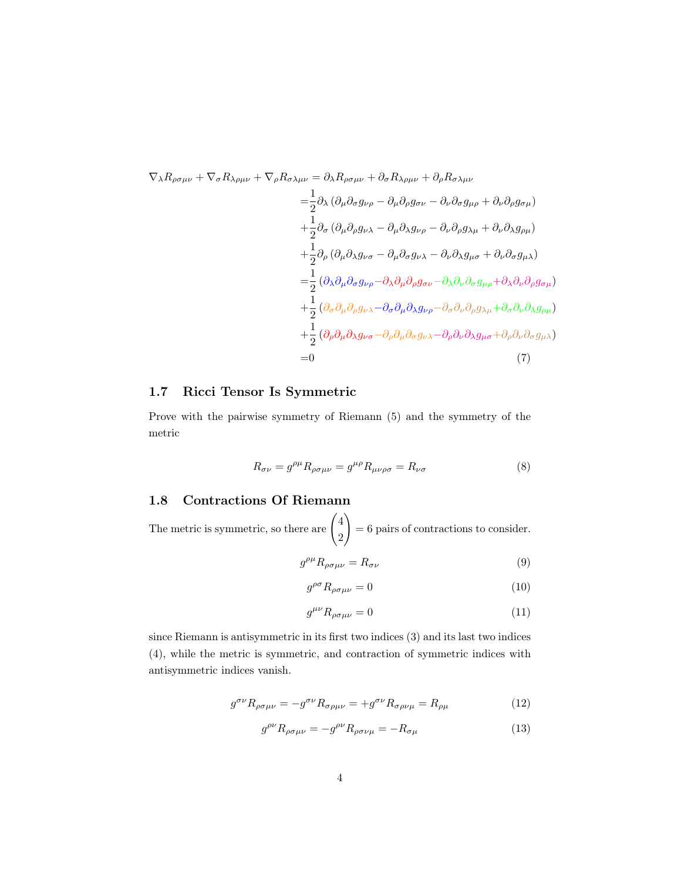$$
\nabla_{\lambda} R_{\rho\sigma\mu\nu} + \nabla_{\sigma} R_{\lambda\rho\mu\nu} + \nabla_{\rho} R_{\sigma\lambda\mu\nu} = \partial_{\lambda} R_{\rho\sigma\mu\nu} + \partial_{\sigma} R_{\lambda\rho\mu\nu} + \partial_{\rho} R_{\sigma\lambda\mu\nu}
$$
  
\n
$$
= \frac{1}{2} \partial_{\lambda} \left( \partial_{\mu} \partial_{\sigma} g_{\nu\rho} - \partial_{\mu} \partial_{\rho} g_{\sigma\nu} - \partial_{\nu} \partial_{\sigma} g_{\mu\rho} + \partial_{\nu} \partial_{\rho} g_{\sigma\mu} \right)
$$
  
\n
$$
+ \frac{1}{2} \partial_{\sigma} \left( \partial_{\mu} \partial_{\rho} g_{\nu\lambda} - \partial_{\mu} \partial_{\lambda} g_{\nu\rho} - \partial_{\nu} \partial_{\rho} g_{\lambda\mu} + \partial_{\nu} \partial_{\lambda} g_{\rho\mu} \right)
$$
  
\n
$$
+ \frac{1}{2} \partial_{\rho} \left( \partial_{\mu} \partial_{\lambda} g_{\nu\sigma} - \partial_{\mu} \partial_{\sigma} g_{\nu\lambda} - \partial_{\nu} \partial_{\lambda} g_{\mu\sigma} + \partial_{\nu} \partial_{\sigma} g_{\mu\lambda} \right)
$$
  
\n
$$
= \frac{1}{2} \left( \partial_{\lambda} \partial_{\mu} \partial_{\sigma} g_{\nu\rho} - \partial_{\lambda} \partial_{\mu} \partial_{\rho} g_{\sigma\nu} - \partial_{\lambda} \partial_{\nu} \partial_{\sigma} g_{\mu\rho} + \partial_{\lambda} \partial_{\nu} \partial_{\rho} g_{\sigma\mu} \right)
$$
  
\n
$$
+ \frac{1}{2} \left( \partial_{\sigma} \partial_{\mu} \partial_{\rho} g_{\nu\lambda} - \partial_{\sigma} \partial_{\mu} \partial_{\lambda} g_{\nu\rho} - \partial_{\sigma} \partial_{\nu} \partial_{\rho} g_{\lambda\mu} + \partial_{\sigma} \partial_{\nu} \partial_{\lambda} g_{\rho\mu} \right)
$$
  
\n
$$
+ \frac{1}{2} \left( \partial_{\rho} \partial_{\mu} \partial_{\lambda} g_{\nu\sigma} - \partial_{\rho} \partial_{\mu} \
$$

### <span id="page-3-0"></span>1.7 Ricci Tensor Is Symmetric

Prove with the pairwise symmetry of Riemann [\(5\)](#page-2-4) and the symmetry of the metric

<span id="page-3-2"></span>
$$
R_{\sigma\nu} = g^{\rho\mu} R_{\rho\sigma\mu\nu} = g^{\mu\rho} R_{\mu\nu\rho\sigma} = R_{\nu\sigma} \tag{8}
$$

#### <span id="page-3-1"></span>1.8 Contractions Of Riemann

The metric is symmetric, so there are  $\begin{pmatrix} 4 & 4 \\ 4 & 1 \end{pmatrix}$ 2  $\setminus$ = 6 pairs of contractions to consider.

$$
g^{\rho\mu}R_{\rho\sigma\mu\nu} = R_{\sigma\nu} \tag{9}
$$

$$
g^{\rho\sigma}R_{\rho\sigma\mu\nu} = 0\tag{10}
$$

$$
g^{\mu\nu}R_{\rho\sigma\mu\nu} = 0\tag{11}
$$

since Riemann is antisymmetric in its first two indices [\(3\)](#page-1-3) and its last two indices [\(4\)](#page-2-5), while the metric is symmetric, and contraction of symmetric indices with antisymmetric indices vanish.

$$
g^{\sigma\nu}R_{\rho\sigma\mu\nu} = -g^{\sigma\nu}R_{\sigma\rho\mu\nu} = +g^{\sigma\nu}R_{\sigma\rho\nu\mu} = R_{\rho\mu} \tag{12}
$$

$$
g^{\rho\nu}R_{\rho\sigma\mu\nu} = -g^{\rho\nu}R_{\rho\sigma\nu\mu} = -R_{\sigma\mu} \tag{13}
$$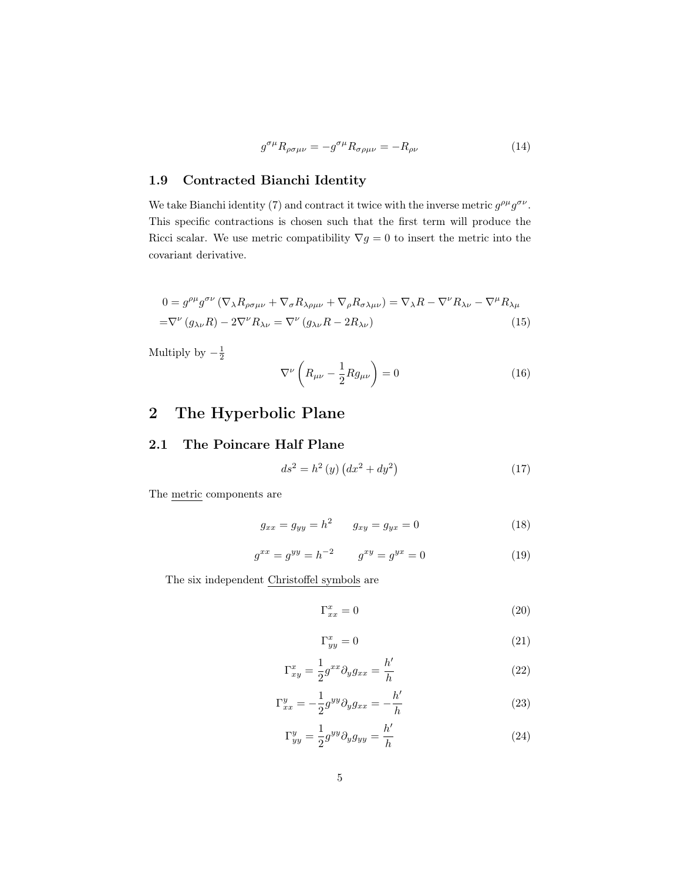$$
g^{\sigma\mu}R_{\rho\sigma\mu\nu} = -g^{\sigma\mu}R_{\sigma\rho\mu\nu} = -R_{\rho\nu} \tag{14}
$$

### <span id="page-4-0"></span>1.9 Contracted Bianchi Identity

We take Bianchi identity [\(7\)](#page-3-2) and contract it twice with the inverse metric  $g^{\rho\mu}g^{\sigma\nu}$ . This specific contractions is chosen such that the first term will produce the Ricci scalar. We use metric compatibility  $\nabla g = 0$  to insert the metric into the covariant derivative.

$$
0 = g^{\rho\mu}g^{\sigma\nu} (\nabla_{\lambda}R_{\rho\sigma\mu\nu} + \nabla_{\sigma}R_{\lambda\rho\mu\nu} + \nabla_{\rho}R_{\sigma\lambda\mu\nu}) = \nabla_{\lambda}R - \nabla^{\nu}R_{\lambda\nu} - \nabla^{\mu}R_{\lambda\mu}
$$

$$
= \nabla^{\nu} (g_{\lambda\nu}R) - 2\nabla^{\nu}R_{\lambda\nu} = \nabla^{\nu} (g_{\lambda\nu}R - 2R_{\lambda\nu})
$$
(15)

Multiply by  $-\frac{1}{2}$ 

$$
\nabla^{\nu}\left(R_{\mu\nu} - \frac{1}{2}Rg_{\mu\nu}\right) = 0\tag{16}
$$

# <span id="page-4-1"></span>2 The Hyperbolic Plane

#### <span id="page-4-2"></span>2.1 The Poincare Half Plane

$$
ds^{2} = h^{2}(y) (dx^{2} + dy^{2})
$$
 (17)

The metric components are

$$
g_{xx} = g_{yy} = h^2 \t g_{xy} = g_{yx} = 0 \t (18)
$$

$$
g^{xx} = g^{yy} = h^{-2} \qquad g^{xy} = g^{yx} = 0 \tag{19}
$$

The six independent Christoffel symbols are

$$
\Gamma_{xx}^x = 0 \tag{20}
$$

$$
\Gamma_{yy}^x = 0 \tag{21}
$$

$$
\Gamma_{xy}^x = \frac{1}{2} g^{xx} \partial_y g_{xx} = \frac{h'}{h} \tag{22}
$$

$$
\Gamma_{xx}^y = -\frac{1}{2}g^{yy}\partial_y g_{xx} = -\frac{h'}{h} \tag{23}
$$

$$
\Gamma_{yy}^y = \frac{1}{2} g^{yy} \partial_y g_{yy} = \frac{h'}{h} \tag{24}
$$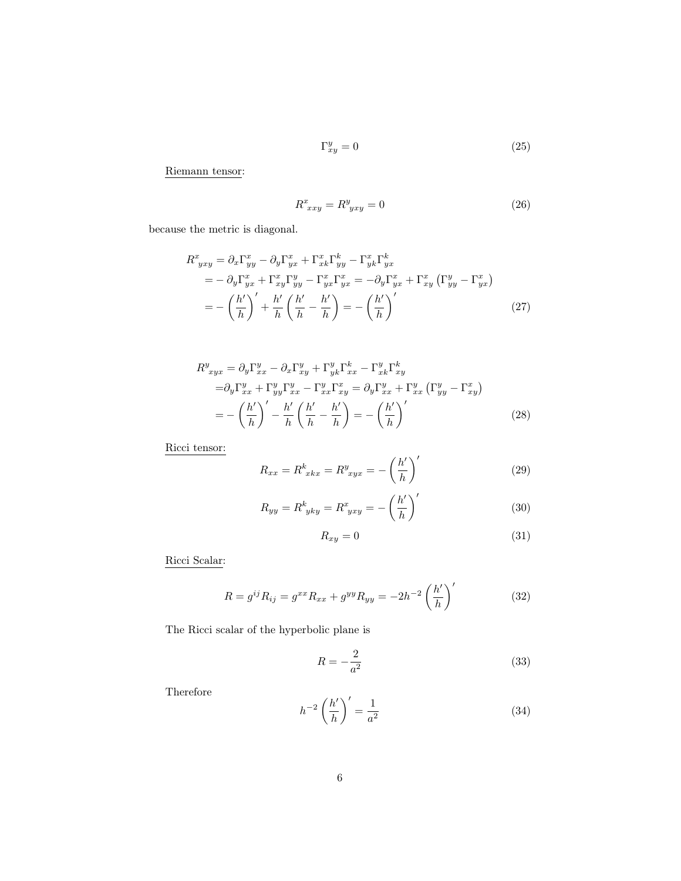$$
\Gamma_{xy}^y = 0 \tag{25}
$$

Riemann tensor:

$$
R^x_{\ xxy} = R^y_{\ yxy} = 0\tag{26}
$$

because the metric is diagonal.

$$
R^{x}_{yxy} = \partial_x \Gamma^{x}_{yy} - \partial_y \Gamma^{x}_{yx} + \Gamma^{x}_{xk} \Gamma^{k}_{yy} - \Gamma^{x}_{yk} \Gamma^{k}_{yx}
$$
  
=  $-\partial_y \Gamma^{x}_{yx} + \Gamma^{x}_{xy} \Gamma^{y}_{yy} - \Gamma^{x}_{yx} \Gamma^{x}_{yx} = -\partial_y \Gamma^{x}_{yx} + \Gamma^{x}_{xy} (\Gamma^{y}_{yy} - \Gamma^{x}_{yx})$   
=  $-\left(\frac{h'}{h}\right)' + \frac{h'}{h} \left(\frac{h'}{h} - \frac{h'}{h}\right) = -\left(\frac{h'}{h}\right)'$  (27)

$$
R_{xyx}^{y} = \partial_y \Gamma_{xx}^{y} - \partial_x \Gamma_{xy}^{y} + \Gamma_{yk}^{y} \Gamma_{xx}^{k} - \Gamma_{xk}^{y} \Gamma_{xy}^{k}
$$
  
\n
$$
= \partial_y \Gamma_{xx}^{y} + \Gamma_{yy}^{y} \Gamma_{xx}^{y} - \Gamma_{xx}^{y} \Gamma_{xy}^{x} = \partial_y \Gamma_{xx}^{y} + \Gamma_{xx}^{y} (\Gamma_{yy}^{y} - \Gamma_{xy}^{x})
$$
  
\n
$$
= -\left(\frac{h'}{h}\right)' - \frac{h'}{h} \left(\frac{h'}{h} - \frac{h'}{h}\right) = -\left(\frac{h'}{h}\right)'
$$
 (28)

Ricci tensor:

$$
R_{xx} = R^k_{\ xkx} = R^y_{\ xyx} = -\left(\frac{h'}{h}\right)'
$$
\n<sup>(29)</sup>

$$
R_{yy} = R^k_{\ yky} = R^x_{\ yxy} = -\left(\frac{h'}{h}\right)'
$$
\n<sup>(30)</sup>

$$
R_{xy} = 0 \tag{31}
$$

Ricci Scalar:

$$
R = g^{ij} R_{ij} = g^{xx} R_{xx} + g^{yy} R_{yy} = -2h^{-2} \left(\frac{h'}{h}\right)'
$$
 (32)

The Ricci scalar of the hyperbolic plane is

$$
R = -\frac{2}{a^2} \tag{33}
$$

Therefore

<span id="page-5-0"></span>
$$
h^{-2}\left(\frac{h'}{h}\right)' = \frac{1}{a^2} \tag{34}
$$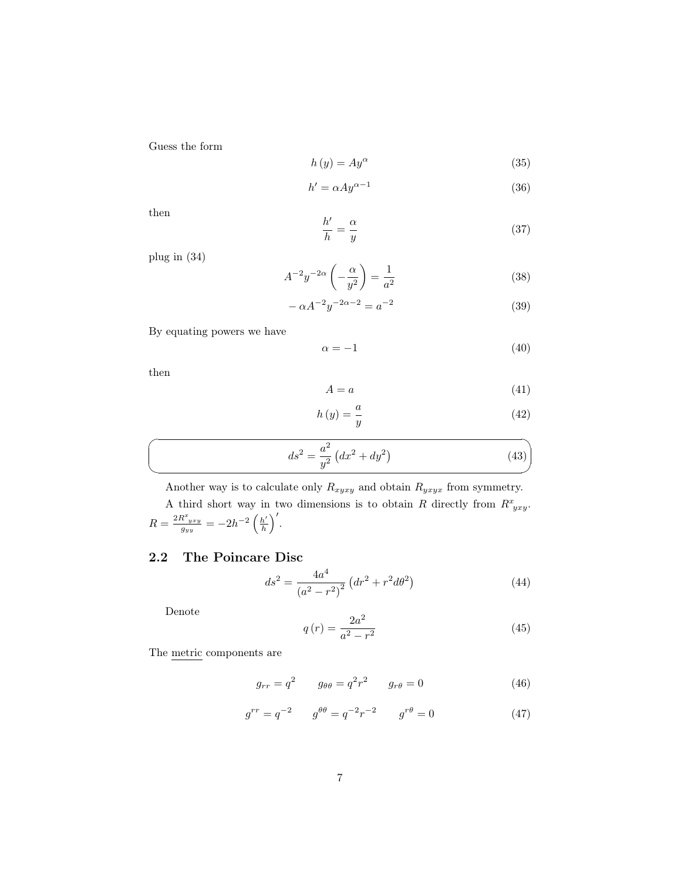Guess the form

$$
h\left(y\right) = Ay^{\alpha} \tag{35}
$$

$$
h' = \alpha A y^{\alpha - 1} \tag{36}
$$

then

$$
\frac{h'}{h} = \frac{\alpha}{y} \tag{37}
$$

plug in [\(34\)](#page-5-0)

$$
A^{-2}y^{-2\alpha}\left(-\frac{\alpha}{y^2}\right) = \frac{1}{a^2} \tag{38}
$$

$$
-\alpha A^{-2}y^{-2\alpha - 2} = a^{-2}
$$
\n(39)

By equating powers we have

$$
\alpha = -1 \tag{40}
$$

then

 $\sqrt{2}$ 

✍

$$
A = a \tag{41}
$$

$$
h\left(y\right) = \frac{a}{y} \tag{42}
$$

$$
ds^{2} = \frac{a^{2}}{y^{2}} \left( dx^{2} + dy^{2} \right)
$$
 (43)

Another way is to calculate only  $R_{xyxy}$  and obtain  $R_{yxyx}$  from symmetry.

A third short way in two dimensions is to obtain R directly from  $R^x{}_{yxy}$ .  $R = \frac{2R^{x}_{~yxy}}{g_{yy}} = -2h^{-2} \left( \frac{h'}{h} \right)$  $\frac{h'}{h}\bigg)'$  .

### <span id="page-6-0"></span>2.2 The Poincare Disc

$$
ds^{2} = \frac{4a^{4}}{(a^{2} - r^{2})^{2}} \left( dr^{2} + r^{2} d\theta^{2} \right)
$$
 (44)

Denote

$$
q\left(r\right) = \frac{2a^2}{a^2 - r^2} \tag{45}
$$

The metric components are

$$
g_{rr} = q^2 \qquad g_{\theta\theta} = q^2 r^2 \qquad g_{r\theta} = 0 \tag{46}
$$

$$
g^{rr} = q^{-2} \t g^{\theta\theta} = q^{-2}r^{-2} \t g^{r\theta} = 0 \t (47)
$$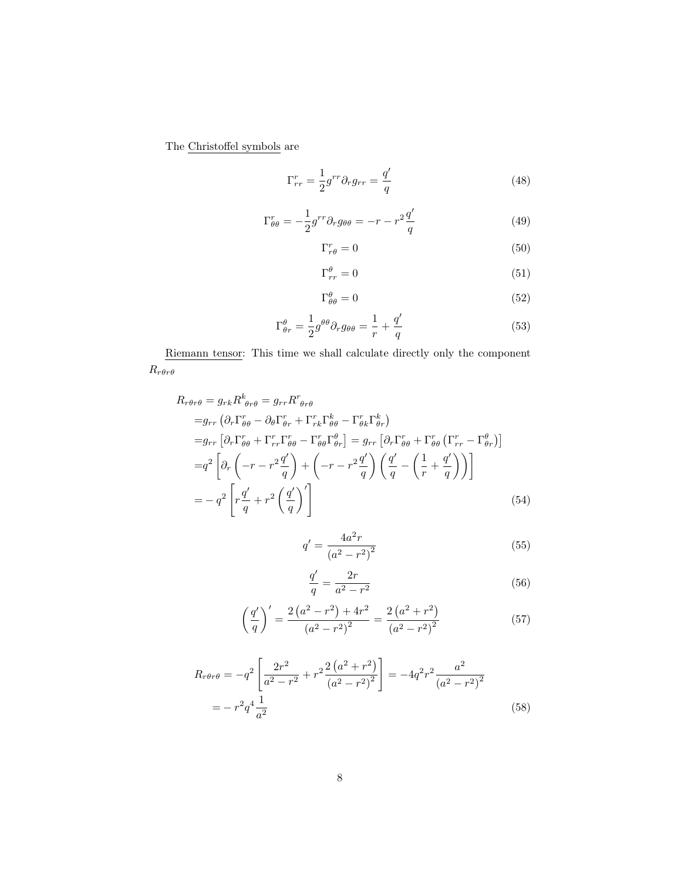The Christoffel symbols are

$$
\Gamma_{rr}^r = \frac{1}{2} g^{rr} \partial_r g_{rr} = \frac{q'}{q} \tag{48}
$$

$$
\Gamma_{\theta\theta}^r = -\frac{1}{2}g^{rr}\partial_r g_{\theta\theta} = -r - r^2 \frac{q'}{q}
$$
\n(49)

$$
\Gamma_{r\theta}^r = 0 \tag{50}
$$

$$
\Gamma^{\theta}_{rr} = 0 \tag{51}
$$

$$
\Gamma^{\theta}_{\theta\theta} = 0 \tag{52}
$$

$$
\Gamma^{\theta}_{\theta r} = \frac{1}{2} g^{\theta \theta} \partial_r g_{\theta \theta} = \frac{1}{r} + \frac{q'}{q} \tag{53}
$$

Riemann tensor: This time we shall calculate directly only the component  $R_{r\theta r\theta}$ 

$$
R_{r\theta r\theta} = g_{rk} R^k_{\theta r\theta} = g_{rr} R^r_{\theta r\theta}
$$
  
\n
$$
= g_{rr} \left( \partial_r \Gamma^r_{\theta\theta} - \partial_\theta \Gamma^r_{\theta r} + \Gamma^r_{rk} \Gamma^k_{\theta\theta} - \Gamma^r_{\theta k} \Gamma^k_{\theta r} \right)
$$
  
\n
$$
= g_{rr} \left[ \partial_r \Gamma^r_{\theta\theta} + \Gamma^r_{rr} \Gamma^r_{\theta\theta} - \Gamma^r_{\theta\theta} \Gamma^{\theta}_{\theta r} \right] = g_{rr} \left[ \partial_r \Gamma^r_{\theta\theta} + \Gamma^r_{\theta\theta} \left( \Gamma^r_{rr} - \Gamma^{\theta}_{\theta r} \right) \right]
$$
  
\n
$$
= q^2 \left[ \partial_r \left( -r - r^2 \frac{q'}{q} \right) + \left( -r - r^2 \frac{q'}{q} \right) \left( \frac{q'}{q} - \left( \frac{1}{r} + \frac{q'}{q} \right) \right) \right]
$$
  
\n
$$
= -q^2 \left[ r \frac{q'}{q} + r^2 \left( \frac{q'}{q} \right)' \right]
$$
  
\n(54)

$$
q' = \frac{4a^2r}{(a^2 - r^2)^2}
$$
\n(55)

$$
\frac{q'}{q} = \frac{2r}{a^2 - r^2} \tag{56}
$$

$$
\left(\frac{q'}{q}\right)' = \frac{2\left(a^2 - r^2\right) + 4r^2}{\left(a^2 - r^2\right)^2} = \frac{2\left(a^2 + r^2\right)}{\left(a^2 - r^2\right)^2} \tag{57}
$$

$$
R_{r\theta r\theta} = -q^2 \left[ \frac{2r^2}{a^2 - r^2} + r^2 \frac{2\left(a^2 + r^2\right)}{\left(a^2 - r^2\right)^2} \right] = -4q^2 r^2 \frac{a^2}{\left(a^2 - r^2\right)^2}
$$

$$
= -r^2 q^4 \frac{1}{a^2} \tag{58}
$$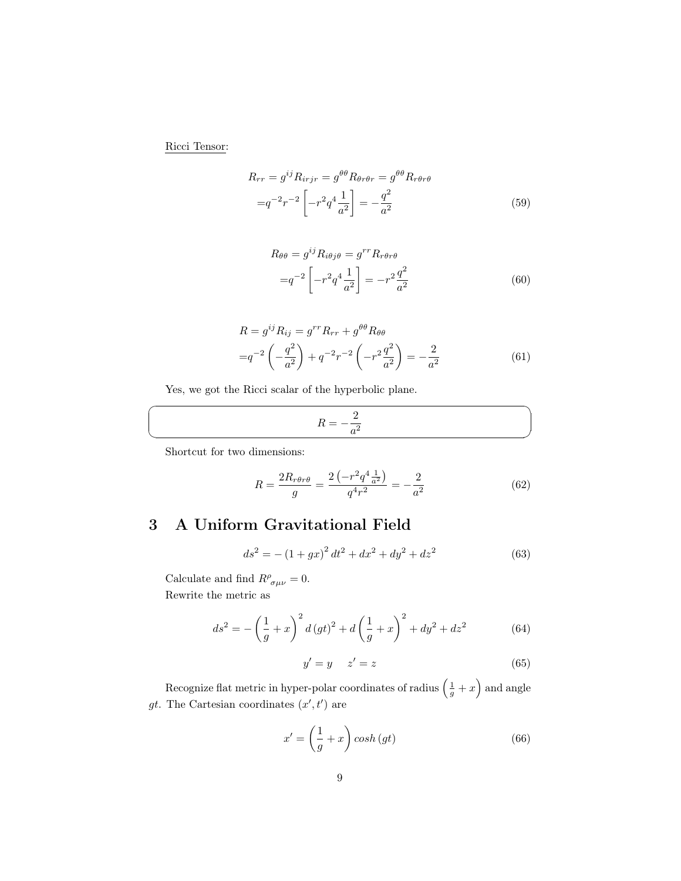Ricci Tensor:

$$
R_{rr} = g^{ij} R_{irjr} = g^{\theta\theta} R_{\theta r\theta r} = g^{\theta\theta} R_{r\theta r\theta}
$$

$$
= q^{-2} r^{-2} \left[ -r^2 q^4 \frac{1}{a^2} \right] = -\frac{q^2}{a^2}
$$
(59)

$$
R_{\theta\theta} = g^{ij} R_{i\theta j\theta} = g^{rr} R_{r\theta r\theta}
$$

$$
= q^{-2} \left[ -r^2 q^4 \frac{1}{a^2} \right] = -r^2 \frac{q^2}{a^2}
$$
(60)

$$
R = g^{ij} R_{ij} = g^{rr} R_{rr} + g^{\theta\theta} R_{\theta\theta}
$$
  
= $q^{-2} \left( -\frac{q^2}{a^2} \right) + q^{-2} r^{-2} \left( -r^2 \frac{q^2}{a^2} \right) = -\frac{2}{a^2}$  (61)

Yes, we got the Ricci scalar of the hyperbolic plane.

$$
R = -\frac{2}{a^2}
$$

Shortcut for two dimensions:

☛

 $\searrow$ 

$$
R = \frac{2R_{r\theta r\theta}}{g} = \frac{2\left(-r^2q^4\frac{1}{a^2}\right)}{q^4r^2} = -\frac{2}{a^2}
$$
(62)

# <span id="page-8-0"></span>3 A Uniform Gravitational Field

$$
ds^{2} = -(1+gx)^{2} dt^{2} + dx^{2} + dy^{2} + dz^{2}
$$
\n(63)

Calculate and find  $R^{\rho}_{\sigma\mu\nu} = 0$ . Rewrite the metric as

$$
ds^{2} = -\left(\frac{1}{g} + x\right)^{2} d\left(gt\right)^{2} + d\left(\frac{1}{g} + x\right)^{2} + dy^{2} + dz^{2}
$$
 (64)

$$
y' = y \t z' = z \t(65)
$$

Recognize flat metric in hyper-polar coordinates of radius  $\left(\frac{1}{g} + x\right)$  and angle gt. The Cartesian coordinates  $(x', t')$  are

$$
x' = \left(\frac{1}{g} + x\right)\cosh\left(gt\right) \tag{66}
$$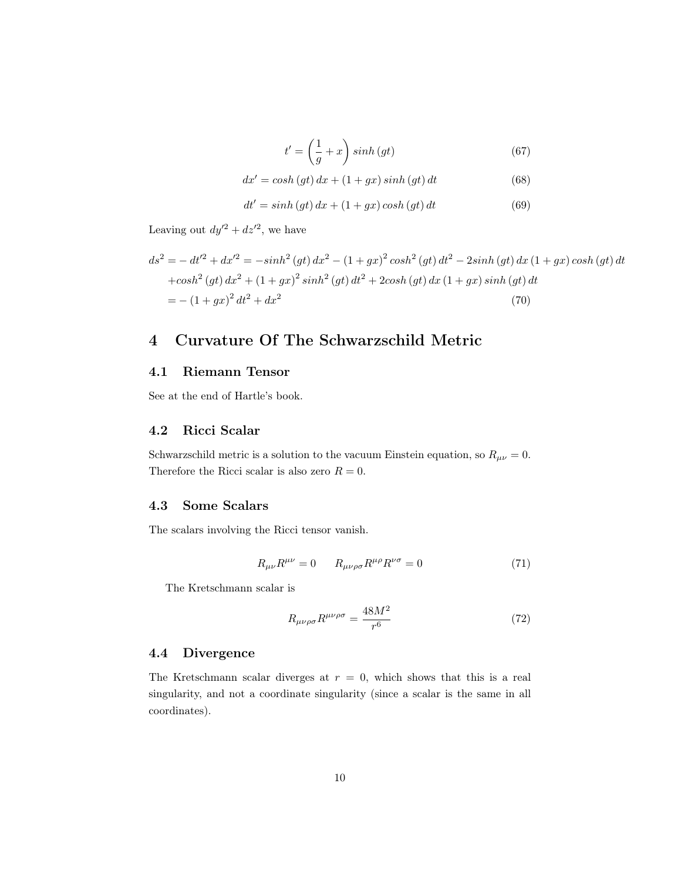$$
t' = \left(\frac{1}{g} + x\right) \sinh\left(gt\right) \tag{67}
$$

$$
dx' = \cosh\left(gt\right)dx + \left(1 + gx\right)\sinh\left(gt\right)dt\tag{68}
$$

$$
dt' = \sinh\left(gt\right)dx + \left(1 + gx\right)\cosh\left(gt\right)dt\tag{69}
$$

Leaving out  $dy'^2 + dz'^2$ , we have

$$
ds^{2} = - dt'^{2} + dx'^{2} = -\sinh^{2}(gt) dx^{2} - (1+gx)^{2} \cosh^{2}(gt) dt^{2} - 2\sinh(gt) dx (1+gx) \cosh(gt) dt
$$
  
+cosh<sup>2</sup> (gt) dx<sup>2</sup> + (1+gx)<sup>2</sup> sinh<sup>2</sup> (gt) dt<sup>2</sup> + 2cosh(gt) dx (1+gx) sinh(gt) dt  
= -(1+gx)<sup>2</sup> dt<sup>2</sup> + dx<sup>2</sup> (70)

### <span id="page-9-0"></span>4 Curvature Of The Schwarzschild Metric

#### <span id="page-9-1"></span>4.1 Riemann Tensor

See at the end of Hartle's book.

### <span id="page-9-2"></span>4.2 Ricci Scalar

Schwarzschild metric is a solution to the vacuum Einstein equation, so  $R_{\mu\nu}=0$ . Therefore the Ricci scalar is also zero  $R = 0$ .

#### <span id="page-9-3"></span>4.3 Some Scalars

The scalars involving the Ricci tensor vanish.

$$
R_{\mu\nu}R^{\mu\nu} = 0 \qquad R_{\mu\nu\rho\sigma}R^{\mu\rho}R^{\nu\sigma} = 0 \tag{71}
$$

The Kretschmann scalar is

$$
R_{\mu\nu\rho\sigma}R^{\mu\nu\rho\sigma} = \frac{48M^2}{r^6} \tag{72}
$$

#### <span id="page-9-4"></span>4.4 Divergence

The Kretschmann scalar diverges at  $r = 0$ , which shows that this is a real singularity, and not a coordinate singularity (since a scalar is the same in all coordinates).